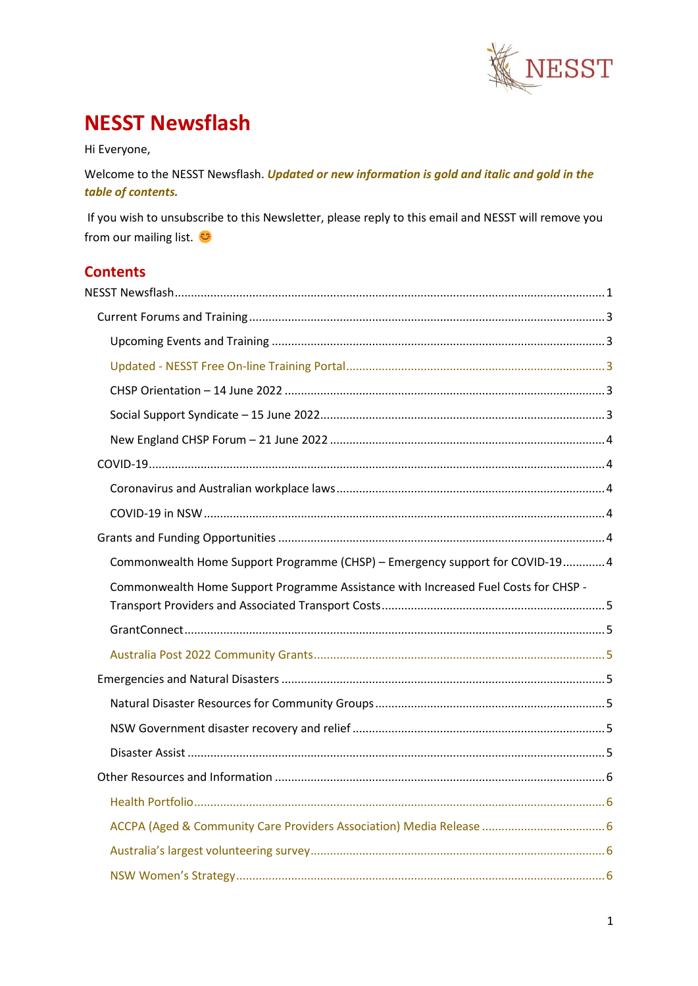

# <span id="page-0-0"></span>**NESST Newsflash**

Hi Everyone,

Welcome to the NESST Newsflash. *Updated or new information is gold and italic and gold in the table of contents.* 

If you wish to unsubscribe to this Newsletter, please reply to this email and NESST will remove you from our mailing list.  $\bullet$ 

# **Contents**

|  | Commonwealth Home Support Programme (CHSP) - Emergency support for COVID-194        |  |
|--|-------------------------------------------------------------------------------------|--|
|  | Commonwealth Home Support Programme Assistance with Increased Fuel Costs for CHSP - |  |
|  |                                                                                     |  |
|  |                                                                                     |  |
|  |                                                                                     |  |
|  |                                                                                     |  |
|  |                                                                                     |  |
|  |                                                                                     |  |
|  |                                                                                     |  |
|  |                                                                                     |  |
|  |                                                                                     |  |
|  |                                                                                     |  |
|  |                                                                                     |  |
|  |                                                                                     |  |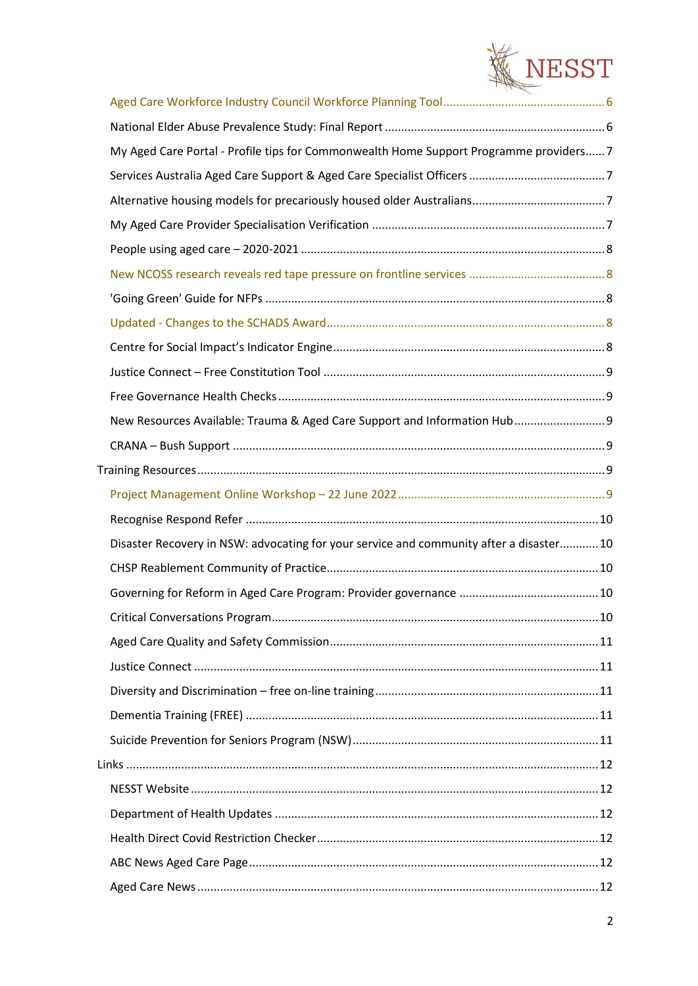

| My Aged Care Portal - Profile tips for Commonwealth Home Support Programme providers 7  |    |
|-----------------------------------------------------------------------------------------|----|
|                                                                                         |    |
|                                                                                         |    |
|                                                                                         |    |
|                                                                                         |    |
|                                                                                         |    |
|                                                                                         |    |
|                                                                                         |    |
|                                                                                         |    |
|                                                                                         |    |
|                                                                                         |    |
| New Resources Available: Trauma & Aged Care Support and Information Hub 9               |    |
|                                                                                         |    |
|                                                                                         |    |
|                                                                                         |    |
|                                                                                         |    |
| Disaster Recovery in NSW: advocating for your service and community after a disaster 10 |    |
|                                                                                         |    |
|                                                                                         |    |
|                                                                                         | 10 |
|                                                                                         |    |
|                                                                                         |    |
|                                                                                         |    |
|                                                                                         |    |
|                                                                                         |    |
|                                                                                         |    |
|                                                                                         |    |
|                                                                                         |    |
|                                                                                         |    |
|                                                                                         |    |
|                                                                                         |    |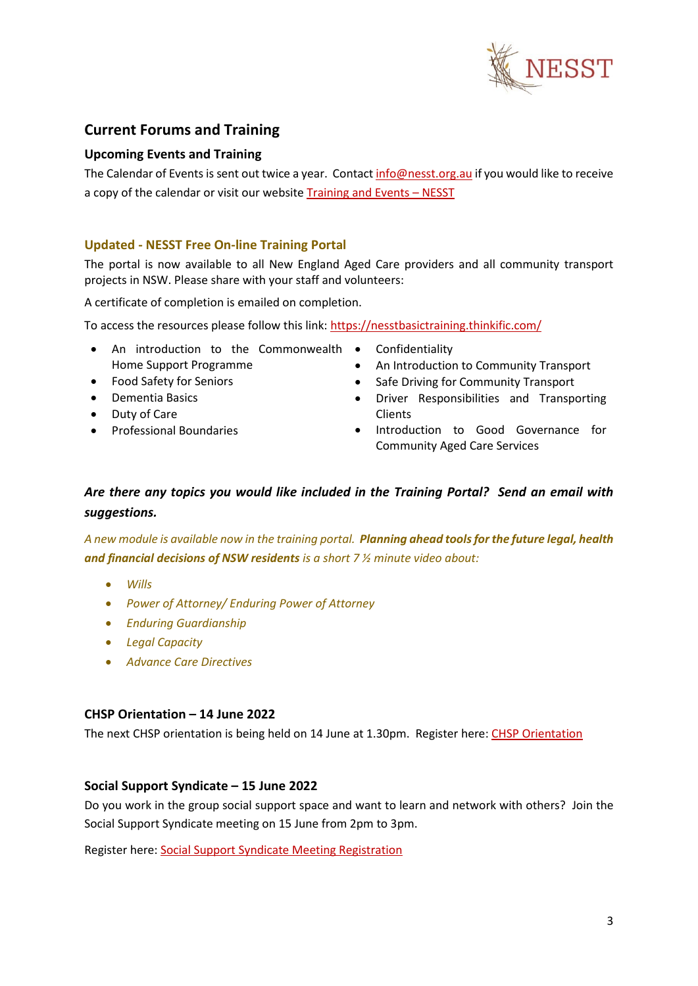

# <span id="page-2-0"></span>**Current Forums and Training**

## <span id="page-2-1"></span>**Upcoming Events and Training**

The Calendar of Events is sent out twice a year. Contac[t info@nesst.org.au](mailto:info@nesst.org.au) if you would like to receive a copy of the calendar or visit our websit[e Training and Events –](https://www.nesst.org.au/training-and-events/) NESST

## <span id="page-2-2"></span>**Updated - NESST Free On-line Training Portal**

The portal is now available to all New England Aged Care providers and all community transport projects in NSW. Please share with your staff and volunteers:

A certificate of completion is emailed on completion.

To access the resources please follow this link:<https://nesstbasictraining.thinkific.com/>

- An introduction to the Commonwealth Confidentiality Home Support Programme
- Food Safety for Seniors
- Dementia Basics
- Duty of Care
- Professional Boundaries
- 
- An Introduction to Community Transport
- Safe Driving for Community Transport
- Driver Responsibilities and Transporting Clients
- Introduction to Good Governance for Community Aged Care Services

# *Are there any topics you would like included in the Training Portal? Send an email with suggestions.*

*A new module is available now in the training portal. Planning ahead tools for the future legal, health and financial decisions of NSW residents is a short 7 ½ minute video about:*

- *Wills*
- *Power of Attorney/ Enduring Power of Attorney*
- *Enduring Guardianship*
- *Legal Capacity*
- *Advance Care Directives*

#### <span id="page-2-3"></span>**CHSP Orientation – 14 June 2022**

The next CHSP orientation is being held on 14 June at 1.30pm. Register here: [CHSP Orientation](https://us02web.zoom.us/meeting/register/tZItde2srzooHtAOtHr5mHklvIz2uJ5OfUbQ)

#### <span id="page-2-4"></span>**Social Support Syndicate – 15 June 2022**

Do you work in the group social support space and want to learn and network with others? Join the Social Support Syndicate meeting on 15 June from 2pm to 3pm.

Register here: [Social Support Syndicate Meeting Registration](https://us02web.zoom.us/meeting/register/tZcrfuutpzgiE9SbZCdPKEagPk0_2MSR5rKb)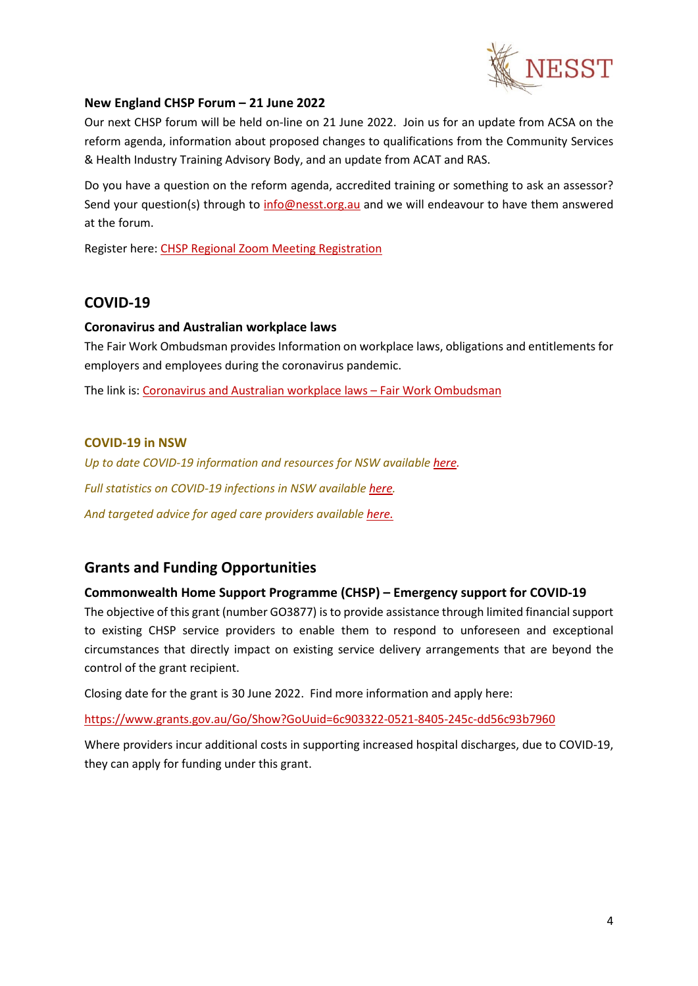

#### <span id="page-3-0"></span>**New England CHSP Forum – 21 June 2022**

Our next CHSP forum will be held on-line on 21 June 2022. Join us for an update from ACSA on the reform agenda, information about proposed changes to qualifications from the Community Services & Health Industry Training Advisory Body, and an update from ACAT and RAS.

Do you have a question on the reform agenda, accredited training or something to ask an assessor? Send your question(s) through to [info@nesst.org.au](mailto:info@nesst.org.au) and we will endeavour to have them answered at the forum.

Register here: [CHSP Regional Zoom Meeting Registration](https://us02web.zoom.us/meeting/register/tZwrdumrrT8rGtRzV03io6Ew-gsVS0P4DpDd)

# <span id="page-3-1"></span>**COVID-19**

# <span id="page-3-2"></span>**Coronavirus and Australian workplace laws**

The Fair Work Ombudsman provides Information on workplace laws, obligations and entitlements for employers and employees during the coronavirus pandemic.

The link is[: Coronavirus and Australian workplace laws –](https://coronavirus.fairwork.gov.au/) Fair Work Ombudsman

# <span id="page-3-3"></span>**COVID-19 in NSW**

*Up to date COVID-19 information and resources for NSW availabl[e here.](https://www.health.nsw.gov.au/infectious/covid-19/pages/default.aspx) Full statistics on COVID-19 infections in NSW available [here.](https://www.health.nsw.gov.au/Infectious/covid-19/Pages/stats-nsw.aspx) And targeted advice for aged care providers available [here.](https://www.health.nsw.gov.au/Infectious/covid-19/Pages/home-care-latest-advice.aspx)*

# <span id="page-3-4"></span>**Grants and Funding Opportunities**

# <span id="page-3-5"></span>**Commonwealth Home Support Programme (CHSP) – Emergency support for COVID-19**

The objective of this grant (number GO3877) is to provide assistance through limited financial support to existing CHSP service providers to enable them to respond to unforeseen and exceptional circumstances that directly impact on existing service delivery arrangements that are beyond the control of the grant recipient.

Closing date for the grant is 30 June 2022. Find more information and apply here:

<https://www.grants.gov.au/Go/Show?GoUuid=6c903322-0521-8405-245c-dd56c93b7960>

Where providers incur additional costs in supporting increased hospital discharges, due to COVID-19, they can apply for funding under this grant.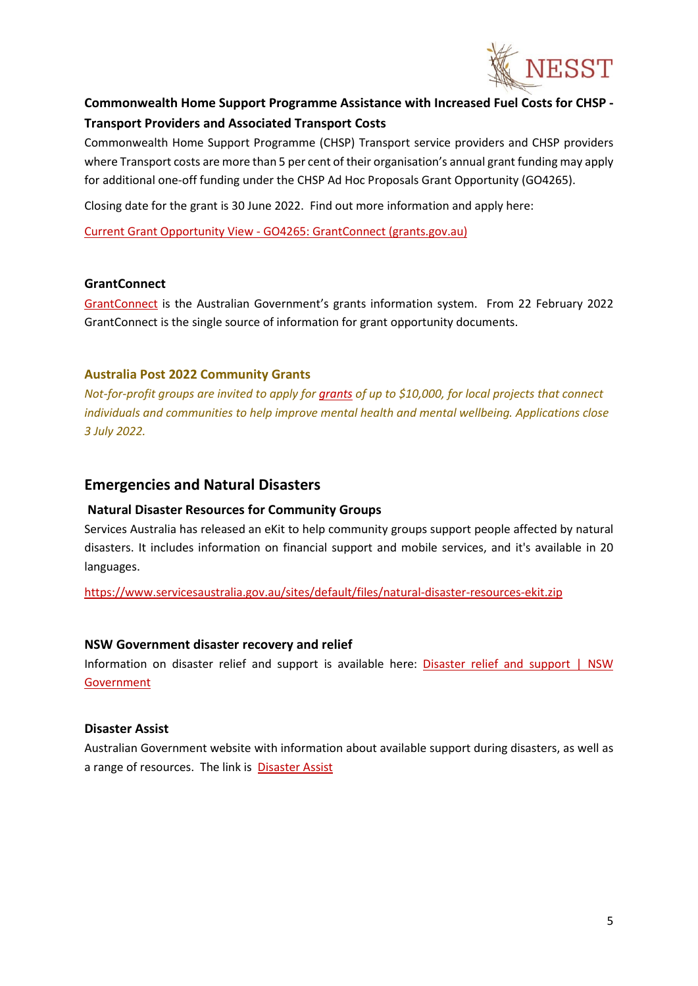

# <span id="page-4-0"></span>**Commonwealth Home Support Programme Assistance with Increased Fuel Costs for CHSP - Transport Providers and Associated Transport Costs**

Commonwealth Home Support Programme (CHSP) Transport service providers and CHSP providers where Transport costs are more than 5 per cent of their organisation's annual grant funding may apply for additional one-off funding under the CHSP Ad Hoc Proposals Grant Opportunity (GO4265).

Closing date for the grant is 30 June 2022. Find out more information and apply here:

Current Grant Opportunity View - [GO4265: GrantConnect \(grants.gov.au\)](https://www.grants.gov.au/Go/Show?GoUuid=64c68525-fdd8-bbb7-1826-7ff80a0f88ca)

#### <span id="page-4-1"></span>**GrantConnect**

[GrantConnect](http://www.grants.gov.au/) is the Australian Government's grants information system. From 22 February 2022 GrantConnect is the single source of information for grant opportunity documents.

# <span id="page-4-2"></span>**Australia Post 2022 Community Grants**

*Not-for-profit groups are invited to apply for [grants](https://auspost.com.au/about-us/supporting-communities/community-grants-program/2022) of up to \$10,000, for local projects that connect individuals and communities to help improve mental health and mental wellbeing. Applications close 3 July 2022.*

# <span id="page-4-3"></span>**Emergencies and Natural Disasters**

# <span id="page-4-4"></span>**Natural Disaster Resources for Community Groups**

Services Australia has released an eKit to help community groups support people affected by natural disasters. It includes information on financial support and mobile services, and it's available in 20 languages.

<https://www.servicesaustralia.gov.au/sites/default/files/natural-disaster-resources-ekit.zip>

#### <span id="page-4-5"></span>**NSW Government disaster recovery and relief**

Information on disaster relief and support is available here: Disaster relief and support | NSW [Government](https://www.nsw.gov.au/disaster-recovery/disaster-relief-and-support)

# <span id="page-4-6"></span>**Disaster Assist**

Australian Government website with information about available support during disasters, as well as a range of resources. The link is [Disaster Assist](https://www.disasterassist.gov.au/)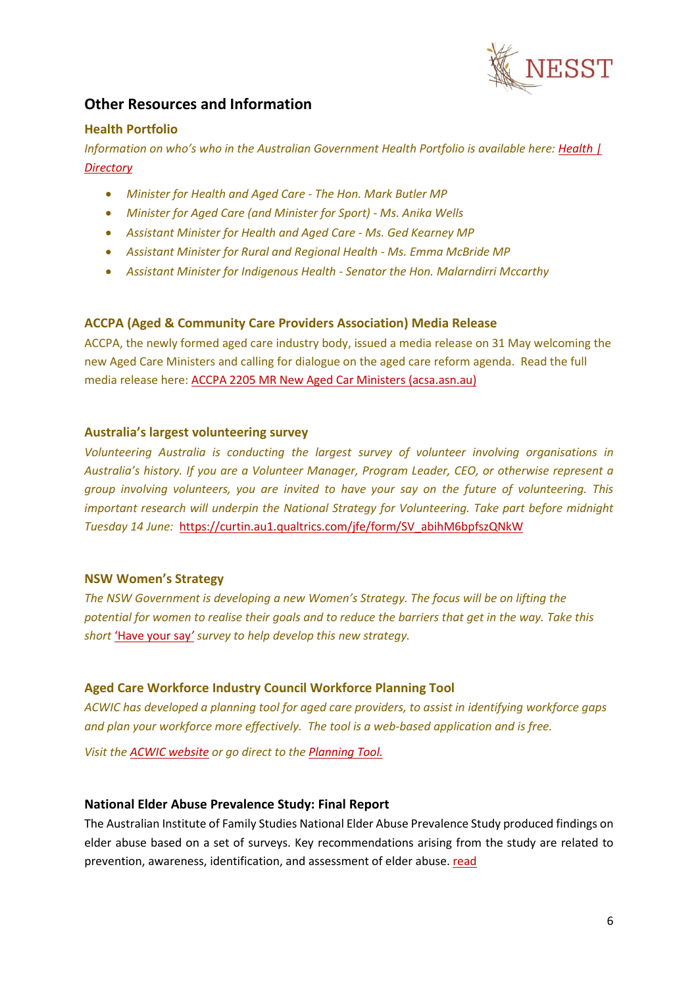

# <span id="page-5-0"></span>**Other Resources and Information**

# <span id="page-5-1"></span>**Health Portfolio**

*Information on who's who in the Australian Government Health Portfolio is available here: [Health |](https://www.directory.gov.au/portfolios/health)  [Directory](https://www.directory.gov.au/portfolios/health)*

- *Minister for Health and Aged Care - The Hon. Mark Butler MP*
- *Minister for Aged Care (and Minister for Sport) - Ms. Anika Wells*
- *Assistant Minister for Health and Aged Care - Ms. Ged Kearney MP*
- *Assistant Minister for Rural and Regional Health - Ms. Emma McBride MP*
- *Assistant Minister for Indigenous Health - Senator the Hon. Malarndirri Mccarthy*

#### <span id="page-5-2"></span>**ACCPA (Aged & Community Care Providers Association) Media Release**

ACCPA, the newly formed aged care industry body, issued a media release on 31 May welcoming the new Aged Care Ministers and calling for dialogue on the aged care reform agenda. Read the full media release here: [ACCPA 2205 MR New Aged Car Ministers \(acsa.asn.au\)](https://www.acsa.asn.au/getattachment/dc1231af-f80c-4a9a-bcbe-e17989aa63aa/Aged-care-providers-welcome-new-Aged-Care-Minister.aspx)

#### <span id="page-5-3"></span>**Australia's largest volunteering survey**

*Volunteering Australia is conducting the largest survey of volunteer involving organisations in Australia's history. If you are a Volunteer Manager, Program Leader, CEO, or otherwise represent a group involving volunteers, you are invited to have your say on the future of volunteering. This important research will underpin the National Strategy for Volunteering. Take part before midnight Tuesday 14 June:* [https://curtin.au1.qualtrics.com/jfe/form/SV\\_abihM6bpfszQNkW](https://curtin.au1.qualtrics.com/jfe/form/SV_abihM6bpfszQNkW)

#### <span id="page-5-4"></span>**NSW Women's Strategy**

*The NSW Government is developing a new Women's Strategy. The focus will be on lifting the potential for women to realise their goals and to reduce the barriers that get in the way. Take this short*['Have your say](https://www.haveyoursay.nsw.gov.au/nsw-womens-strategy-consultation)*' survey to help develop this new strategy.*

# <span id="page-5-5"></span>**Aged Care Workforce Industry Council Workforce Planning Tool**

*ACWIC has developed a planning tool for aged care providers, to assist in identifying workforce gaps and plan your workforce more effectively. The tool is a web-based application and is free.* 

*Visit the [ACWIC website](https://acwic.com.au/) or go direct to the [Planning Tool.](https://workforce-planning-tool.acwic.com.au/)*

#### <span id="page-5-6"></span>**National Elder Abuse Prevalence Study: Final Report**

The Australian Institute of Family Studies National Elder Abuse Prevalence Study produced findings on elder abuse based on a set of surveys. Key recommendations arising from the study are related to prevention, awareness, identification, and assessment of elder abuse. [read](https://aifs.gov.au/sites/default/files/publication-documents/2021_national_elder_abuse_prevalence_study_final_report.pdf)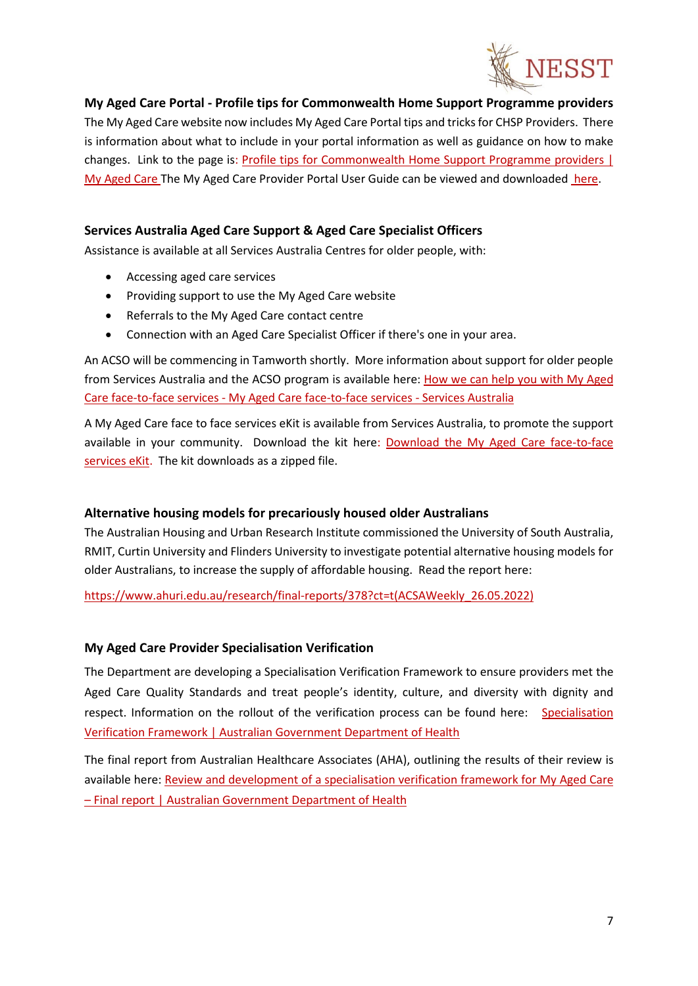

## <span id="page-6-0"></span>**My Aged Care Portal - Profile tips for Commonwealth Home Support Programme providers**

The My Aged Care website now includes My Aged Care Portal tips and tricks for CHSP Providers. There is information about what to include in your portal information as well as guidance on how to make changes. Link to the page is: [Profile tips for Commonwealth Home Support Programme providers |](https://www.myagedcare.gov.au/service-providers/profile-tips-service-providers/profile-tips-commonwealth-home-support-programme-providers)  [My Aged Care](https://www.myagedcare.gov.au/service-providers/profile-tips-service-providers/profile-tips-commonwealth-home-support-programme-providers) The My Aged Care Provider Portal User Guide can be viewed and downloaded [here.](https://www.health.gov.au/sites/default/files/documents/2020/01/my-aged-care-provider-portal-user-guide-part-1-administrator-functions.pdf)

## <span id="page-6-1"></span>**Services Australia Aged Care Support & Aged Care Specialist Officers**

Assistance is available at all Services Australia Centres for older people, with:

- Accessing aged care services
- Providing support to use the My Aged Care website
- Referrals to the My Aged Care contact centre
- Connection with an Aged Care Specialist Officer if there's one in your area.

An ACSO will be commencing in Tamworth shortly. More information about support for older people from Services Australia and the ACSO program is available here: How we can help you with My Aged Care face-to-face services - [My Aged Care face-to-face services -](https://www.servicesaustralia.gov.au/how-we-can-help-you-with-my-aged-care-face-to-face-services?context=55715) Services Australia

A My Aged Care face to face services eKit is available from Services Australia, to promote the support available in your community. Download the kit here: [Download the My Aged Care face-to-face](https://www.servicesaustralia.gov.au/sites/default/files/my-aged-care-face-to-face-services-ekit-230322.zip)  [services eKit.](https://www.servicesaustralia.gov.au/sites/default/files/my-aged-care-face-to-face-services-ekit-230322.zip) The kit downloads as a zipped file.

#### <span id="page-6-2"></span>**Alternative housing models for precariously housed older Australians**

The Australian Housing and Urban Research Institute commissioned the University of South Australia, RMIT, Curtin University and Flinders University to investigate potential alternative housing models for older Australians, to increase the supply of affordable housing. Read the report here:

[https://www.ahuri.edu.au/research/final-reports/378?ct=t\(ACSAWeekly\\_26.05.2022\)](https://www.ahuri.edu.au/research/final-reports/378?ct=t(ACSAWeekly_26.05.2022))

#### <span id="page-6-3"></span>**My Aged Care Provider Specialisation Verification**

The Department are developing a Specialisation Verification Framework to ensure providers met the Aged Care Quality Standards and treat people's identity, culture, and diversity with dignity and respect. Information on the rollout of the verification process can be found here: [Specialisation](https://www.health.gov.au/health-topics/aged-care/providing-aged-care-services/delivering-quality-aged-care-services/specialisation-verification-framework)  [Verification Framework | Australian Government Department of Health](https://www.health.gov.au/health-topics/aged-care/providing-aged-care-services/delivering-quality-aged-care-services/specialisation-verification-framework)

The final report from Australian Healthcare Associates (AHA), outlining the results of their review is available here: [Review and development of a specialisation verification framework for My Aged Care](https://www.health.gov.au/resources/publications/review-and-development-of-a-specialisation-verification-framework-for-my-aged-care-final-report)  – [Final report | Australian Government Department of Health](https://www.health.gov.au/resources/publications/review-and-development-of-a-specialisation-verification-framework-for-my-aged-care-final-report)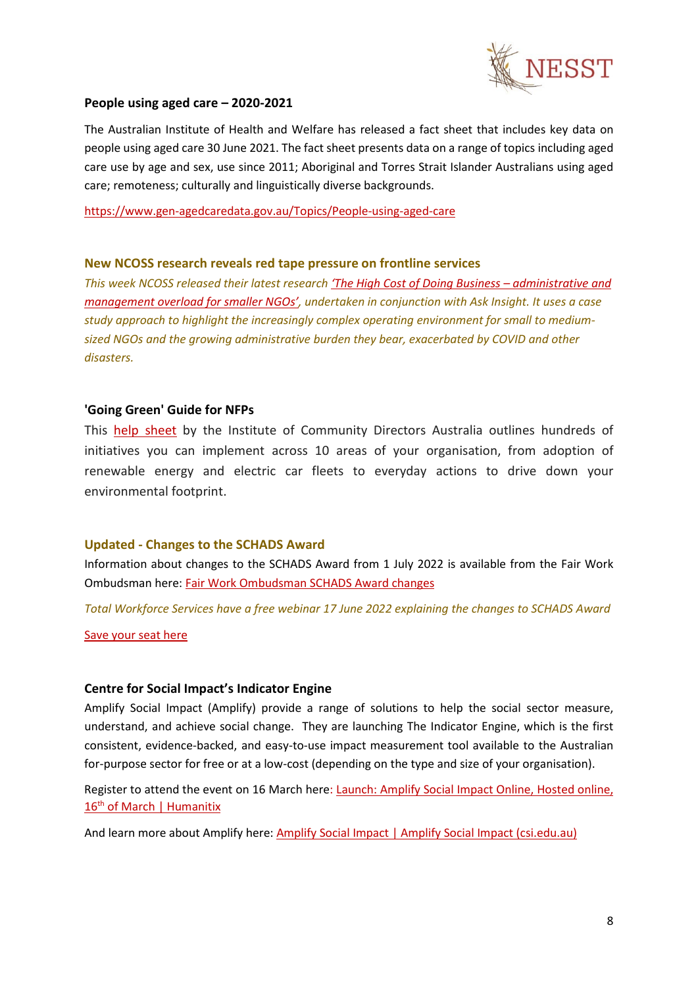

#### <span id="page-7-0"></span>**People using aged care – 2020-2021**

The Australian Institute of Health and Welfare has released a fact sheet that includes key data on people using aged care 30 June 2021. The fact sheet presents data on a range of topics including aged care use by age and sex, use since 2011; Aboriginal and Torres Strait Islander Australians using aged care; remoteness; culturally and linguistically diverse backgrounds.

<https://www.gen-agedcaredata.gov.au/Topics/People-using-aged-care>

#### <span id="page-7-1"></span>**New NCOSS research reveals red tape pressure on frontline services**

*This week NCOSS released their latest research ['The High Cost of Doing Business –](https://www.ncoss.org.au/policy-advocacy/policy-research-publications/the-high-cost-of-doing-business-administrative-and-management-overload-in-smaller-ngos/) administrative and [management overload for smaller NGOs',](https://www.ncoss.org.au/policy-advocacy/policy-research-publications/the-high-cost-of-doing-business-administrative-and-management-overload-in-smaller-ngos/) undertaken in conjunction with Ask Insight. It uses a case study approach to highlight the increasingly complex operating environment for small to mediumsized NGOs and the growing administrative burden they bear, exacerbated by COVID and other disasters.*

#### <span id="page-7-2"></span>**'Going Green' Guide for NFPs**

This [help sheet](https://communityconnective.us14.list-manage.com/track/click?u=1543098c088e658ca0d911add&id=e7a4757770&e=7495fde262) by the Institute of Community Directors Australia outlines hundreds of initiatives you can implement across 10 areas of your organisation, from adoption of renewable energy and electric car fleets to everyday actions to drive down your environmental footprint.

#### <span id="page-7-3"></span>**Updated - Changes to the SCHADS Award**

Information about changes to the SCHADS Award from 1 July 2022 is available from the Fair Work Ombudsman here: [Fair Work Ombudsman SCHADS Award changes](https://www.fairwork.gov.au/newsroom/news/1-july-2022-changes-social-and-community-services-award)

*Total Workforce Services have a free webinar 17 June 2022 explaining the changes to SCHADS Award* 

[Save your seat here](https://www.totalworkforceservices.com.au/workshops)

#### <span id="page-7-4"></span>**Centre for Social Impact's Indicator Engine**

Amplify Social Impact (Amplify) provide a range of solutions to help the social sector measure, understand, and achieve social change. They are launching The Indicator Engine, which is the first consistent, evidence-backed, and easy-to-use impact measurement tool available to the Australian for-purpose sector for free or at a low-cost (depending on the type and size of your organisation).

Register to attend the event on 16 March here: [Launch: Amplify Social Impact Online,](https://events.humanitix.com/amplify-social-impact-online-launch) Hosted online, 16<sup>th</sup> [of March | Humanitix](https://events.humanitix.com/amplify-social-impact-online-launch)

And learn more about Amplify here: [Amplify Social Impact | Amplify Social Impact \(csi.edu.au\)](https://amplify.csi.edu.au/)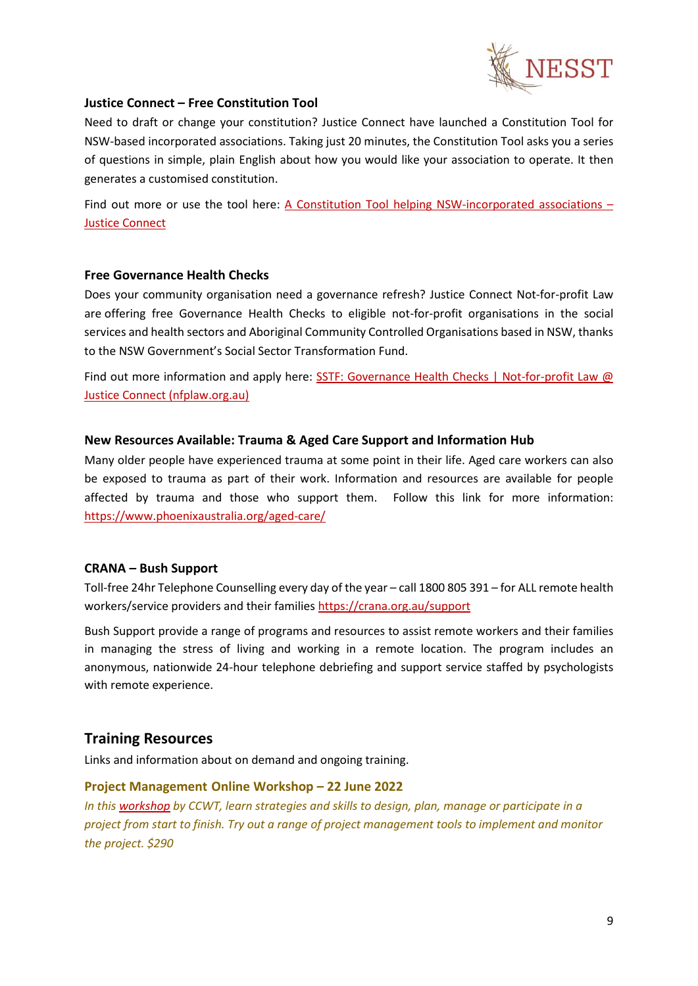

# <span id="page-8-0"></span>**Justice Connect – Free Constitution Tool**

Need to draft or change your constitution? Justice Connect have launched a Constitution Tool for NSW-based incorporated associations. Taking just 20 minutes, the Constitution Tool asks you a series of questions in simple, plain English about how you would like your association to operate. It then generates a customised constitution.

Find out more or use the tool here: [A Constitution Tool helping NSW-incorporated associations –](https://justiceconnect.org.au/fairmatters/new-constitution-tool-helping-nsw-incorporated-associations/) [Justice Connect](https://justiceconnect.org.au/fairmatters/new-constitution-tool-helping-nsw-incorporated-associations/)

#### <span id="page-8-1"></span>**Free Governance Health Checks**

Does your community organisation need a governance refresh? Justice Connect Not-for-profit Law are offering free Governance Health Checks to eligible not-for-profit organisations in the social services and health sectors and Aboriginal Community Controlled Organisations based in NSW, thanks to the NSW Government's Social Sector Transformation Fund.

Find out more information and apply here: SSTF: Governance Health Checks | Not-for-profit Law @ [Justice Connect \(nfplaw.org.au\)](https://nfplaw.org.au/sstf-governance-health-checks)

#### <span id="page-8-2"></span>**New Resources Available: Trauma & Aged Care Support and Information Hub**

Many older people have experienced trauma at some point in their life. Aged care workers can also be exposed to trauma as part of their work. Information and resources are available for people affected by trauma and those who support them. Follow this link for more information: <https://www.phoenixaustralia.org/aged-care/>

# <span id="page-8-3"></span>**CRANA – Bush Support**

Toll-free 24hr Telephone Counselling every day of the year – call 1800 805 391 – for ALL remote health workers/service providers and their families <https://crana.org.au/support>

Bush Support provide a range of programs and resources to assist remote workers and their families in managing the stress of living and working in a remote location. The program includes an anonymous, nationwide 24-hour telephone debriefing and support service staffed by psychologists with remote experience.

# <span id="page-8-4"></span>**Training Resources**

Links and information about on demand and ongoing training.

#### <span id="page-8-5"></span>**Project Management Online Workshop – 22 June 2022**

*In thi[s workshop](https://www.ccwt.edu.au/course/MLG27) by CCWT, learn strategies and skills to design, plan, manage or participate in a project from start to finish. Try out a range of project management tools to implement and monitor the project. \$290*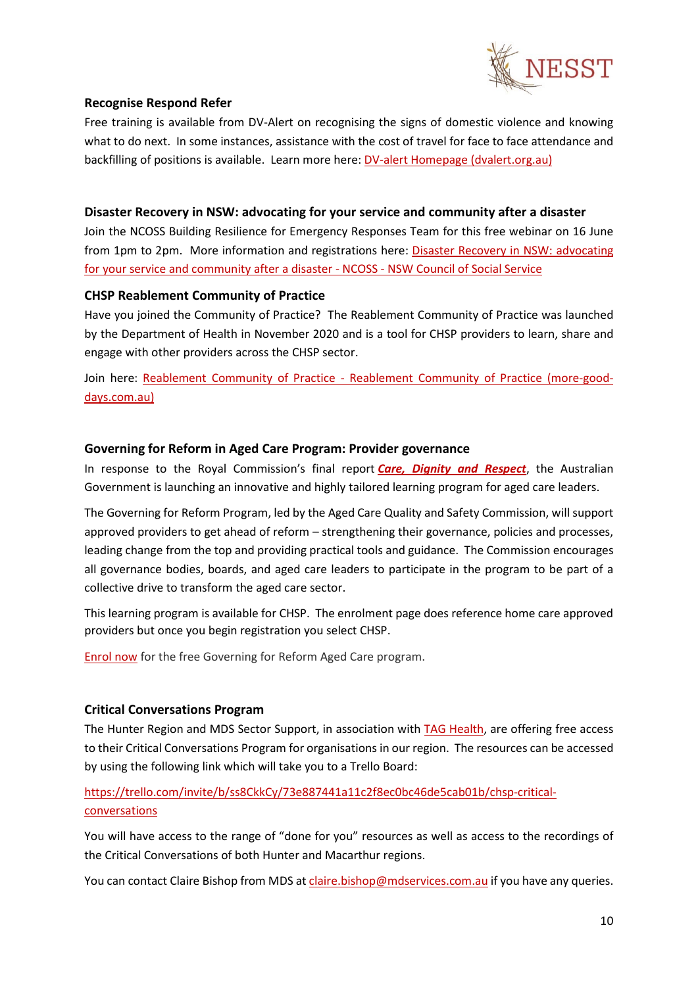

# <span id="page-9-0"></span>**Recognise Respond Refer**

Free training is available from DV-Alert on recognising the signs of domestic violence and knowing what to do next. In some instances, assistance with the cost of travel for face to face attendance and backfilling of positions is available. Learn more here[: DV-alert Homepage \(dvalert.org.au\)](https://www.dvalert.org.au/)

# <span id="page-9-1"></span>**Disaster Recovery in NSW: advocating for your service and community after a disaster**

Join the NCOSS Building Resilience for Emergency Responses Team for this free webinar on 16 June from 1pm to 2pm. More information and registrations here: [Disaster Recovery in NSW: advocating](https://www.ncoss.org.au/event/disaster-recovery-in-nsw/?utm_source=CommunityConnective&utm_campaign=4d7c70001b-EMAIL_CAMPAIGN_2022_05_24_11_11&utm_medium=email&utm_term=0_bb54714f9e-4d7c70001b-586665351)  [for your service and community after a disaster -](https://www.ncoss.org.au/event/disaster-recovery-in-nsw/?utm_source=CommunityConnective&utm_campaign=4d7c70001b-EMAIL_CAMPAIGN_2022_05_24_11_11&utm_medium=email&utm_term=0_bb54714f9e-4d7c70001b-586665351) NCOSS - NSW Council of Social Service

# <span id="page-9-2"></span>**CHSP Reablement Community of Practice**

Have you joined the Community of Practice? The Reablement Community of Practice was launched by the Department of Health in November 2020 and is a tool for CHSP providers to learn, share and engage with other providers across the CHSP sector.

Join here: Reablement Community of Practice - [Reablement Community of Practice \(more-good](https://www.more-good-days.com.au/login)[days.com.au\)](https://www.more-good-days.com.au/login)

#### <span id="page-9-3"></span>**Governing for Reform in Aged Care Program: Provider governance**

In response to the Royal Commission's final report *[Care, Dignity and Respect](https://agedcare.royalcommission.gov.au/sites/default/files/2021-03/final-report-volume-1.pdf)*, the Australian Government is launching an innovative and highly tailored learning program for aged care leaders.

The Governing for Reform Program, led by the Aged Care Quality and Safety Commission, will support approved providers to get ahead of reform – strengthening their governance, policies and processes, leading change from the top and providing practical tools and guidance. The Commission encourages all governance bodies, boards, and aged care leaders to participate in the program to be part of a collective drive to transform the aged care sector.

This learning program is available for CHSP. The enrolment page does reference home care approved providers but once you begin registration you select CHSP.

**[Enrol now](https://insightssurvey.kpmg.com.au/wix/5/p124442310925.aspx)** for the free Governing for Reform Aged Care program.

# <span id="page-9-4"></span>**Critical Conversations Program**

The Hunter Region and MDS Sector Support, in association wit[h TAG Health,](https://www.claire-edwards.com/) are offering free access to their Critical Conversations Program for organisations in our region. The resources can be accessed by using the following link which will take you to a Trello Board:

[https://trello.com/invite/b/ss8CkkCy/73e887441a11c2f8ec0bc46de5cab01b/chsp-critical](https://urldefense.proofpoint.com/v2/url?u=https-3A__trello.com_invite_b_ss8CkkCy_73e887441a11c2f8ec0bc46de5cab01b_chsp-2Dcritical-2Dconversations&d=DwMFaQ&c=euGZstcaTDllvimEN8b7jXrwqOf-v5A_CdpgnVfiiMM&r=27gQ-C9wmV4GjuBokqzYhniUMAzlOMg5caVrT-72Vl8&m=BeZRwKixd3M0B87UFQe2FxbR_AtxxvFZEjr8qZBe5t4&s=DQeX1nNNZa1DOJ8vbP7DR6uPCnQToU2OnZrykDbe4Po&e=)[conversations](https://urldefense.proofpoint.com/v2/url?u=https-3A__trello.com_invite_b_ss8CkkCy_73e887441a11c2f8ec0bc46de5cab01b_chsp-2Dcritical-2Dconversations&d=DwMFaQ&c=euGZstcaTDllvimEN8b7jXrwqOf-v5A_CdpgnVfiiMM&r=27gQ-C9wmV4GjuBokqzYhniUMAzlOMg5caVrT-72Vl8&m=BeZRwKixd3M0B87UFQe2FxbR_AtxxvFZEjr8qZBe5t4&s=DQeX1nNNZa1DOJ8vbP7DR6uPCnQToU2OnZrykDbe4Po&e=)

You will have access to the range of "done for you" resources as well as access to the recordings of the Critical Conversations of both Hunter and Macarthur regions.

You can contact Claire Bishop from MDS a[t claire.bishop@mdservices.com.au](mailto:claire.bishop@mdservices.com.au) if you have any queries.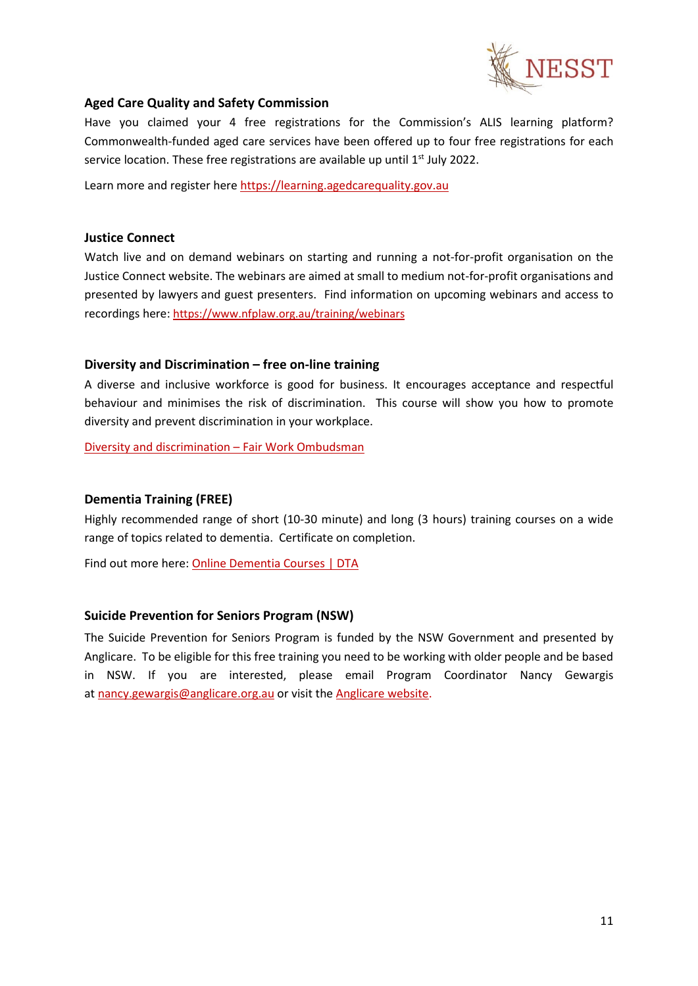

# <span id="page-10-0"></span>**Aged Care Quality and Safety Commission**

Have you claimed your 4 free registrations for the Commission's ALIS learning platform? Commonwealth-funded aged care services have been offered up to four free registrations for each service location. These free registrations are available up until 1<sup>st</sup> July 2022.

Learn more and register here [https://learning.agedcarequality.gov.au](https://learning.agedcarequality.gov.au/)

#### <span id="page-10-1"></span>**Justice Connect**

Watch live and on demand webinars on starting and running a not-for-profit organisation on the Justice Connect website. The webinars are aimed at small to medium not-for-profit organisations and presented by lawyers and guest presenters. Find information on upcoming webinars and access to recordings here[: https://www.nfplaw.org.au/training/webinars](https://www.nfplaw.org.au/training/webinars)

#### <span id="page-10-2"></span>**Diversity and Discrimination – free on-line training**

A diverse and inclusive workforce is good for business. It encourages acceptance and respectful behaviour and minimises the risk of discrimination. This course will show you how to promote diversity and prevent discrimination in your workplace.

[Diversity and discrimination –](https://www.fairwork.gov.au/tools-and-resources/online-learning-centre/diversity-and-discrimination) Fair Work Ombudsman

# <span id="page-10-3"></span>**Dementia Training (FREE)**

Highly recommended range of short (10-30 minute) and long (3 hours) training courses on a wide range of topics related to dementia. Certificate on completion.

Find out more here[: Online Dementia Courses | DTA](https://dta.com.au/online-dementia-courses/)

#### <span id="page-10-4"></span>**Suicide Prevention for Seniors Program (NSW)**

The Suicide Prevention for Seniors Program is funded by the NSW Government and presented by Anglicare. To be eligible for this free training you need to be working with older people and be based in NSW. If you are interested, please email Program Coordinator Nancy Gewargis at [nancy.gewargis@anglicare.org.au](mailto:nancy.gewargis@anglicare.org.au) or visit the [Anglicare website.](https://www.anglicare.org.au/what-we-offer/mental-health/suicide-prevention-for-seniors/)